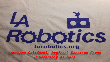

## larobotics.org *Southern California Regional Robotics Forum Scholarship Winners*

Rootics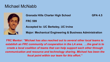## Michael McNabb



**Granada Hills Charter High School GPA 4.5 FRC 599 Accepted to: UC Berkeley, UC Irvine**

**Major: Mechanical Engineering & Business Administration**

**FRC Mentor:** *"Michael has also reached out to several other local teams to establish an FRC community of cooperation in the LA area. …the goal is to create a local coalition of teams that can help support each other through communication and resource and technology sharing. Michael has been the focal point within our team for this effort."*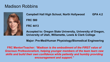## Madison Robbins



**Campbell Hall High School, North Hollywood GPA 4.2 FRC 580 FRC 4413**

**Accepted to: Oregon State University, University of Oregon, University of Utah, Willamette, Lewis & Clark College**

**Major: Pre-Med/Human Physiology/Biomedical Engineering**

**FRC Mentor/Teacher:** *"Madison is the embodiment of the FIRST value of Gracious Professionalism, helping younger members of the team learn new skills and build their own confidence while patiently and humbly providing encouragement and support."*